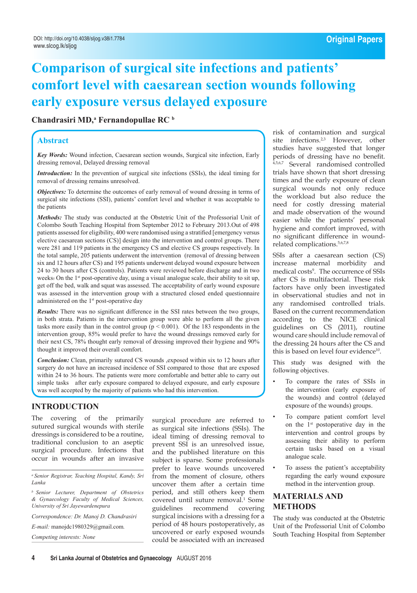# **Comparison of surgical site infections and patients' comfort level with caesarean section wounds following early exposure versus delayed exposure**

# Chandrasiri MD,<sup>a</sup> Fernandopullae RC<sup>b</sup>

### **Abstract**

*Key Words:* Wound infection, Caesarean section wounds, Surgical site infection, Early dressing removal, Delayed dressing removal

*Introduction:* In the prevention of surgical site infections (SSIs), the ideal timing for removal of dressing remains unresolved.

*Objectives:* To determine the outcomes of early removal of wound dressing in terms of surgical site infections (SSI), patients' comfort level and whether it was acceptable to the patients

*Methods:* The study was conducted at the Obstetric Unit of the Professorial Unit of Colombo South Teaching Hospital from September 2012 to February 2013.Out of 498 patients assessed for eligibility, 400 were randomised using a stratified [emergency versus elective caesarean sections (CS)] design into the intervention and control groups. There were 281 and 119 patients in the emergency CS and elective CS groups respectively. In the total sample, 205 patients underwent the intervention (removal of dressing between six and 12 hours after CS) and 195 patients underwent delayed wound exposure between 24 to 30 hours after CS (controls). Patients were reviewed before discharge and in two weeks. On the 1<sup>st</sup> post-operative day, using a visual analogue scale, their ability to sit up, get off the bed, walk and squat was assessed. The acceptability of early wound exposure was assessed in the intervention group with a structured closed ended questionnaire administered on the 1<sup>st</sup> post-operative day

*Results:* There was no significant difference in the SSI rates between the two groups, in both strata. Patients in the intervention group were able to perform all the given tasks more easily than in the control group ( $p < 0.001$ ). Of the 183 respondents in the intervention group, 85% would prefer to have the wound dressings removed early for their next CS, 78% thought early removal of dressing improved their hygiene and 90% thought it improved their overall comfort.

*Conclusion:* Clean, primarily sutured CS wounds ,exposed within six to 12 hours after surgery do not have an increased incidence of SSI compared to those that are exposed within 24 to 36 hours. The patients were more comfortable and better able to carry out simple tasks after early exposure compared to delayed exposure, and early exposure was well accepted by the majority of patients who had this intervention.

# **Introduction**

The covering of the primarily sutured surgical wounds with sterile dressings is considered to be a routine, traditional conclusion to an aseptic surgical procedure. Infections that occur in wounds after an invasive

*a Senior Registrar, Teaching Hospital, Kandy, Sri Lanka* 

*b Senior Lecturer, Department of Obstetrics & Gynaecology Faculty of Medical Sciences, University of Sri Jayewardenepura*

*Correspondence: Dr. Manoj D. Chandrasiri*

*E-mail:* manojdc1980329@gmail.com*.* 

*Competing interests: None*

surgical procedure are referred to as surgical site infections (SSIs). The ideal timing of dressing removal to prevent SSI is an unresolved issue, and the published literature on this subject is sparse. Some professionals prefer to leave wounds uncovered from the moment of closure, others uncover them after a certain time period, and still others keep them covered until suture removal.1 Some guidelines recommend covering surgical incisions with a dressing for a period of 48 hours postoperatively, as uncovered or early exposed wounds could be associated with an increased

risk of contamination and surgical site infections.<sup>2,3</sup> However, other studies have suggested that longer periods of dressing have no benefit. 4,5,6,7 Several randomised controlled trials have shown that short dressing times and the early exposure of clean surgical wounds not only reduce the workload but also reduce the need for costly dressing material and made observation of the wound easier while the patients' personal hygiene and comfort improved, with no significant difference in woundrelated complications.5,6,7,8

SSIs after a caesarean section (CS) increase maternal morbidity and medical costs<sup>9</sup>. The occurrence of SSIs after CS is multifactorial. These risk factors have only been investigated in observational studies and not in any randomised controlled trials. Based on the current recommendation according to the NICE clinical guidelines on CS (2011), routine wound care should include removal of the dressing 24 hours after the CS and this is based on level four evidence<sup>10</sup>.

This study was designed with the following objectives.

- To compare the rates of SSIs in the intervention (early exposure of the wounds) and control (delayed exposure of the wounds) groups.
- To compare patient comfort level on the 1st postoperative day in the intervention and control groups by assessing their ability to perform certain tasks based on a visual analogue scale.
- To assess the patient's acceptability regarding the early wound exposure method in the intervention group.

# **MATERIALS AND METHODS**

The study was conducted at the Obstetric Unit of the Professorial Unit of Colombo South Teaching Hospital from September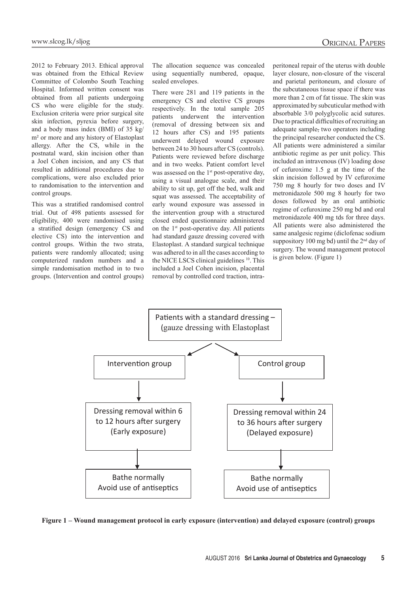2012 to February 2013. Ethical approval was obtained from the Ethical Review Committee of Colombo South Teaching Hospital. Informed written consent was obtained from all patients undergoing CS who were eligible for the study. Exclusion criteria were prior surgical site skin infection, pyrexia before surgery, and a body mass index (BMI) of 35 kg/ m² or more and any history of Elastoplast allergy. After the CS, while in the postnatal ward, skin incision other than a Joel Cohen incision, and any CS that resulted in additional procedures due to complications, were also excluded prior to randomisation to the intervention and control groups.

This was a stratified randomised control trial. Out of 498 patients assessed for eligibility, 400 were randomised using a stratified design (emergency CS and elective CS) into the intervention and control groups. Within the two strata, patients were randomly allocated; using computerized random numbers and a simple randomisation method in to two groups. (Intervention and control groups) The allocation sequence was concealed using sequentially numbered, opaque, sealed envelopes.

There were 281 and 119 patients in the emergency CS and elective CS groups respectively. In the total sample 205 patients underwent the intervention (removal of dressing between six and 12 hours after CS) and 195 patients underwent delayed wound exposure between 24 to 30 hours after CS (controls). Patients were reviewed before discharge and in two weeks. Patient comfort level was assessed on the  $1<sup>st</sup>$  post-operative day, using a visual analogue scale, and their ability to sit up, get off the bed, walk and squat was assessed. The acceptability of early wound exposure was assessed in the intervention group with a structured closed ended questionnaire administered on the  $1<sup>st</sup>$  post-operative day. All patients had standard gauze dressing covered with Elastoplast. A standard surgical technique was adhered to in all the cases according to the NICE LSCS clinical guidelines <sup>10</sup>. This included a Joel Cohen incision, placental removal by controlled cord traction, intraperitoneal repair of the uterus with double layer closure, non-closure of the visceral and parietal peritoneum, and closure of the subcutaneous tissue space if there was more than 2 cm of fat tissue. The skin was approximated by subcuticular method with absorbable 3/0 polyglycolic acid sutures. Due to practical difficulties of recruiting an adequate sample, two operators including the principal researcher conducted the CS. All patients were administered a similar antibiotic regime as per unit policy. This included an intravenous (IV) loading dose of cefuroxime 1.5 g at the time of the skin incision followed by IV cefuroxime 750 mg 8 hourly for two doses and IV metronidazole 500 mg 8 hourly for two doses followed by an oral antibiotic regime of cefuroxime 250 mg bd and oral metronidazole 400 mg tds for three days. All patients were also administered the same analgesic regime (diclofenac sodium suppository 100 mg bd) until the 2<sup>nd</sup> day of surgery. The wound management protocol is given below. (Figure 1)



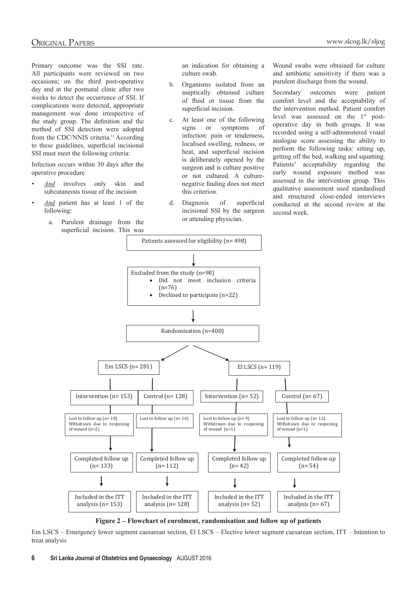Primary outcome was the SSI rate. All participants were reviewed on two occasions; on the third post-operative day and at the postnatal clinic after two weeks to detect the occurrence of SSI. If complications were detected, appropriate management was done irrespective of the study group. The definition and the method of SSI detection were adopted from the CDC/NNIS criteria.<sup>11</sup> According to these guidelines, superficial incisional SSI must meet the following criteria:

Infection occurs within 30 days after the operative procedure

- *• And* involves only skin and subcutaneous tissue of the incision
- *• And* patient has at least 1 of the following:
	- a. Purulent drainage from the <sup>of attention</sup> physician. superficial incision. This was

an indication for obtaining a culture swab.

- b. Organisms isolated from an aseptically obtained culture of fluid or tissue from the superficial incision.
- c. At least one of the following signs or symptoms of infection: pain or tenderness, localised swelling, redness, or heat, and superficial incision is deliberately opened by the surgeon and is culture positive or not cultured. A culturenegative finding does not meet this criterion.
- d. Diagnosis of superficial incisional SSI by the surgeon or attending physician.

Wound swabs were obtained for culture and antibiotic sensitivity if there was a purulent discharge from the wound.

Secondary outcomes were patient comfort level and the acceptability of the intervention method. Patient comfort level was assessed on the 1st postoperative day in both groups. It was recorded using a self-administered visual analogue score assessing the ability to perform the following tasks: sitting up, getting off the bed, walking and squatting. Patients' acceptability regarding the early wound exposure method was assessed in the intervention group. This qualitative assessment used standardised and structured close-ended interviews conducted at the second review at the second week.



**Figure 2 – Flowchart of enrolment, randomisation and follow up of patients**

Em LSCS – Emergency lower segment caesarean section, El LSCS – Elective lower segment caesarean section, ITT – Intention to Em LSCS – Emergency lower segment caesarean section, El LSCS – Elective lower segment treat analysis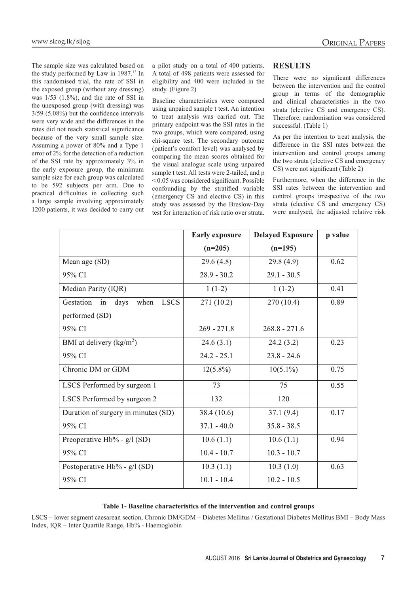The sample size was calculated based on the study performed by Law in 1987.12 In this randomised trial, the rate of SSI in the exposed group (without any dressing) was 1/53 (1.8%), and the rate of SSI in the unexposed group (with dressing) was 3/59 (5.08%) but the confidence intervals were very wide and the differences in the rates did not reach statistical significance because of the very small sample size. Assuming a power of 80% and a Type 1 error of 2% for the detection of a reduction of the SSI rate by approximately 3% in the early exposure group, the minimum sample size for each group was calculated to be 592 subjects per arm. Due to practical difficulties in collecting such a large sample involving approximately 1200 patients, it was decided to carry out a pilot study on a total of 400 patients. A total of 498 patients were assessed for eligibility and 400 were included in the study. (Figure 2)

Baseline characteristics were compared using unpaired sample t test. An intention to treat analysis was carried out. The primary endpoint was the SSI rates in the two groups, which were compared, using chi-square test. The secondary outcome (patient's comfort level) was analysed by comparing the mean scores obtained for the visual analogue scale using unpaired sample t test. All tests were 2-tailed, and p < 0.05 was considered significant. Possible confounding by the stratified variable (emergency CS and elective CS) in this study was assessed by the Breslow-Day test for interaction of risk ratio over strata.

#### **RESULTS**

There were no significant differences between the intervention and the control group in terms of the demographic and clinical characteristics in the two strata (elective CS and emergency CS). Therefore, randomisation was considered successful. (Table 1)

As per the intention to treat analysis, the difference in the SSI rates between the intervention and control groups among the two strata (elective CS and emergency CS) were not significant (Table 2)

Furthermore, when the difference in the SSI rates between the intervention and control groups irrespective of the two strata (elective CS and emergency CS) were analysed, the adjusted relative risk

|                                                | <b>Early exposure</b> | <b>Delayed Exposure</b> | p value |
|------------------------------------------------|-----------------------|-------------------------|---------|
|                                                | $(n=205)$             | $(n=195)$               |         |
| Mean age (SD)                                  | 29.6(4.8)             | 29.8(4.9)               | 0.62    |
| 95% CI                                         | $28.9 - 30.2$         | $29.1 - 30.5$           |         |
| Median Parity (IQR)                            | $1(1-2)$              | $1(1-2)$                | 0.41    |
| Gestation<br>in<br><b>LSCS</b><br>days<br>when | 271 (10.2)            | 270 (10.4)              | 0.89    |
| performed (SD)                                 |                       |                         |         |
| 95% CI                                         | $269 - 271.8$         | $268.8 - 271.6$         |         |
| BMI at delivery $(kg/m2)$                      | 24.6(3.1)             | 24.2(3.2)               | 0.23    |
| 95% CI                                         | $24.2 - 25.1$         | $23.8 - 24.6$           |         |
| Chronic DM or GDM                              | $12(5.8\%)$           | $10(5.1\%)$             | 0.75    |
| LSCS Performed by surgeon 1                    | 73                    | 75                      | 0.55    |
| LSCS Performed by surgeon 2                    | 132                   | 120                     |         |
| Duration of surgery in minutes (SD)            | 38.4 (10.6)           | 37.1(9.4)               | 0.17    |
| 95% CI                                         | $37.1 - 40.0$         | $35.8 - 38.5$           |         |
| Preoperative Hb% - g/l (SD)                    | 10.6(1.1)             | 10.6(1.1)               | 0.94    |
| 95% CI                                         | $10.4 - 10.7$         | $10.3 - 10.7$           |         |
| Postoperative Hb% - g/l (SD)                   | 10.3(1.1)             | 10.3(1.0)               | 0.63    |
| 95% CI                                         | $10.1 - 10.4$         | $10.2 - 10.5$           |         |

#### **Table 1- Baseline characteristics of the intervention and control groups**

LSCS – lower segment caesarean section, Chronic DM/GDM – Diabetes Mellitus / Gestational Diabetes Mellitus BMI – Body Mass Index, IQR – Inter Quartile Range, Hb% - Haemoglobin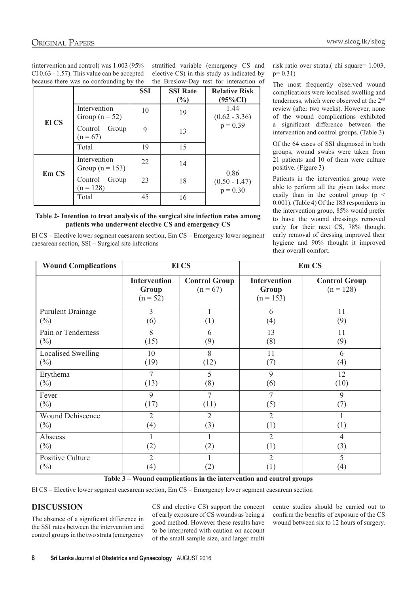(intervention and control) was 1.003 (95% CI 0.63 - 1.57). This value can be accepted because there was no confounding by the

stratified variable (emergency CS and elective CS) in this study as indicated by the Breslow-Day test for interaction of

|              |                                     | <b>SSI</b> | <b>SSI Rate</b><br>(%) | <b>Relative Risk</b><br>$(95\%CI)$  |
|--------------|-------------------------------------|------------|------------------------|-------------------------------------|
| El CS        | Intervention<br>Group ( $n = 52$ )  | 10         | 19                     | 1.44<br>$(0.62 - 3.36)$<br>p = 0.39 |
|              | Control<br>Group<br>$(n = 67)$      | 9          | 13                     |                                     |
|              | Total                               | 19         | 15                     |                                     |
| <b>Em CS</b> | Intervention<br>Group ( $n = 153$ ) | 22         | 14                     | 0.86                                |
|              | Control<br>Group<br>$(n = 128)$     | 23         | 18                     | $(0.50 - 1.47)$<br>p = 0.30         |
|              | Total                               | 45         | 16                     |                                     |

#### **Table 2- Intention to treat analysis of the surgical site infection rates among patients who underwent elective CS and emergency CS**

El CS – Elective lower segment caesarean section, Em CS – Emergency lower segment caesarean section, SSI – Surgical site infections

risk ratio over strata.( chi square= 1.003,  $p= 0.31$ )

The most frequently observed wound complications were localised swelling and tenderness, which were observed at the 2nd review (after two weeks). However, none of the wound complications exhibited a significant difference between the intervention and control groups. (Table 3)

Of the 64 cases of SSI diagnosed in both groups, wound swabs were taken from 21 patients and 10 of them were culture positive. (Figure 3)

Patients in the intervention group were able to perform all the given tasks more easily than in the control group (p < 0.001). (Table 4) Of the 183 respondents in the intervention group, 85% would prefer to have the wound dressings removed early for their next CS, 78% thought early removal of dressing improved their hygiene and 90% thought it improved their overall comfort.

| <b>Wound Complications</b> | El CS                                      |                                    | Em CS                                       |                                     |  |  |
|----------------------------|--------------------------------------------|------------------------------------|---------------------------------------------|-------------------------------------|--|--|
|                            | <b>Intervention</b><br>Group<br>$(n = 52)$ | <b>Control Group</b><br>$(n = 67)$ | <b>Intervention</b><br>Group<br>$(n = 153)$ | <b>Control Group</b><br>$(n = 128)$ |  |  |
| <b>Purulent Drainage</b>   | 3                                          | (1)                                | 6                                           | 11                                  |  |  |
| $(\%)$                     | (6)                                        |                                    | (4)                                         | (9)                                 |  |  |
| Pain or Tenderness         | 8                                          | 6                                  | 13                                          | 11                                  |  |  |
| $(\%)$                     | (15)                                       | (9)                                | (8)                                         | (9)                                 |  |  |
| <b>Localised Swelling</b>  | 10                                         | 8                                  | 11                                          | 6                                   |  |  |
| $(\%)$                     | (19)                                       | (12)                               | (7)                                         | (4)                                 |  |  |
| Erythema                   | 7                                          | 5                                  | 9                                           | 12                                  |  |  |
| $(\%)$                     | (13)                                       | (8)                                | (6)                                         | (10)                                |  |  |
| Fever                      | 9                                          | 7                                  | 7                                           | 9                                   |  |  |
| $(\%)$                     | (17)                                       | (11)                               | (5)                                         | (7)                                 |  |  |
| <b>Wound Dehiscence</b>    | $\overline{2}$                             | $\overline{2}$                     | $\overline{2}$                              | $\mathbf{1}$                        |  |  |
| $(\%)$                     | (4)                                        | (3)                                | (1)                                         | (1)                                 |  |  |
| Abscess<br>$(\%)$          | (2)                                        | (2)                                | $\overline{2}$<br>(1)                       | $\overline{4}$<br>(3)               |  |  |
| <b>Positive Culture</b>    | $\overline{2}$                             | (2)                                | $\overline{2}$                              | 5                                   |  |  |
| $(\%)$                     | (4)                                        |                                    | (1)                                         | (4)                                 |  |  |

**Table 3 – Wound complications in the intervention and control groups**

El CS – Elective lower segment caesarean section, Em CS – Emergency lower segment caesarean section

#### **DISCUSSION**

The absence of a significant difference in the SSI rates between the intervention and control groups in the two strata (emergency

CS and elective CS) support the concept of early exposure of CS wounds as being a good method. However these results have to be interpreted with caution on account of the small sample size, and larger multi centre studies should be carried out to confirm the benefits of exposure of the CS wound between six to 12 hours of surgery.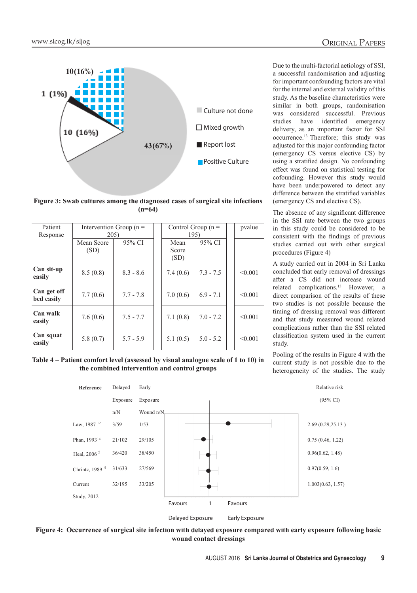

**Figure 3: Swab cultures among the diagnosed cases of surgical site infections (n=64)**

| Patient<br>Response       | Intervention Group $(n =$<br>205) |             | Control Group $(n =$<br>195) |             | pvalue  |
|---------------------------|-----------------------------------|-------------|------------------------------|-------------|---------|
|                           | Mean Score<br>(SD)                | 95% CI      | Mean<br>Score<br>(SD)        | 95% CI      |         |
| Can sit-up<br>easily      | 8.5(0.8)                          | $8.3 - 8.6$ | 7.4(0.6)                     | $7.3 - 7.5$ | < 0.001 |
| Can get off<br>bed easily | 7.7(0.6)                          | $7.7 - 7.8$ | 7.0(0.6)                     | $6.9 - 7.1$ | < 0.001 |
| Can walk<br>easily        | 7.6(0.6)                          | $7.5 - 7.7$ | 7.1(0.8)                     | $7.0 - 7.2$ | < 0.001 |
| Can squat<br>easily       | 5.8(0.7)                          | $5.7 - 5.9$ | 5.1(0.5)                     | $5.0 - 5.2$ | < 0.001 |

a successful randomisation and adjusting for important confounding factors are vital for the internal and external validity of this study. As the baseline characteristics were similar in both groups, randomisation was considered successful. Previous studies have identified emergency delivery, as an important factor for SSI occurrence.13 Therefore; this study was adjusted for this major confounding factor (emergency CS versus elective CS) by using a stratified design. No confounding effect was found on statistical testing for cofounding. However this study would have been underpowered to detect any difference between the stratified variables (emergency CS and elective CS).

The absence of any significant difference in the SSI rate between the two groups in this study could be considered to be consistent with the findings of previous studies carried out with other surgical procedures (Figure 4)

A study carried out in 2004 in Sri Lanka concluded that early removal of dressings after a CS did not increase wound related complications.13 However, a direct comparison of the results of these two studies is not possible because the timing of dressing removal was different and that study measured wound related complications rather than the SSI related classification system used in the current study.

**Table 4 – Patient comfort level (assessed by visual analogue scale of 1 to 10) in the combined intervention and control groups**

Pooling of the results in Figure **4** with the current study is not possible due to the heterogeneity of the studies. The study



**Figure 4: Occurrence of surgical site infection with delayed exposure compared with early exposure following basic wound contact dressings**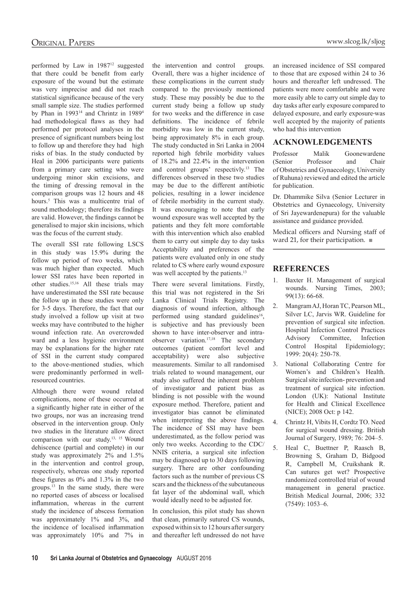performed by Law in 1987<sup>12</sup> suggested that there could be benefit from early exposure of the wound but the estimate was very imprecise and did not reach statistical significance because of the very small sample size. The studies performed by Phan in 1993<sup>14</sup> and Chrintz in 1989<sup>4</sup> had methodological flaws as they had performed per protocol analyses in the presence of significant numbers being lost to follow up and therefore they had high risks of bias. In the study conducted by Heal in 2006 participants were patients from a primary care setting who were undergoing minor skin excisions, and the timing of dressing removal in the comparison groups was 12 hours and 48 hours.5 This was a multicentre trial of sound methodology; therefore its findings are valid. However, the findings cannot be generalised to major skin incisions, which

The overall SSI rate following LSCS in this study was 15.9% during the follow up period of two weeks, which was much higher than expected. Much lower SSI rates have been reported in other studies.15,16 All these trials may have underestimated the SSI rate because the follow up in these studies were only for 3-5 days. Therefore, the fact that our study involved a follow up visit at two weeks may have contributed to the higher wound infection rate. An overcrowded ward and a less hygienic environment may be explanations for the higher rate of SSI in the current study compared to the above-mentioned studies, which were predominantly performed in wellresourced countries.

was the focus of the current study.

Although there were wound related complications, none of these occurred at a significantly higher rate in either of the two groups, nor was an increasing trend observed in the intervention group. Only two studies in the literature allow direct comparison with our study.13, 15 Wound dehiscence (partial and complete) in our study was approximately 2% and 1.5% in the intervention and control group, respectively, whereas one study reported these figures as 0% and 1.3% in the two groups.13 In the same study, there were no reported cases of abscess or localised inflammation, whereas in the current study the incidence of abscess formation was approximately 1% and 3%, and the incidence of localised inflammation was approximately 10% and 7% in the intervention and control groups. Overall, there was a higher incidence of these complications in the current study compared to the previously mentioned study. These may possibly be due to the current study being a follow up study for two weeks and the difference in case definitions. The incidence of febrile morbidity was low in the current study, being approximately 8% in each group. The study conducted in Sri Lanka in 2004 reported high febrile morbidity values of 18.2% and 22.4% in the intervention and control groups' respectivly.<sup>13</sup> The differences observed in these two studies may be due to the different antibiotic policies, resulting in a lower incidence of febrile morbidity in the current study. It was encouraging to note that early wound exposure was well accepted by the patients and they felt more comfortable with this intervention which also enabled them to carry out simple day to day tasks Acceptability and preferences of the patients were evaluated only in one study related to CS where early wound exposure was well accepted by the patients.<sup>13</sup>

There were several limitations. Firstly, this trial was not registered in the Sri Lanka Clinical Trials Registry. The diagnosis of wound infection, although performed using standard guidelines<sup>16</sup>, is subjective and has previously been shown to have inter-observer and intraobserver variation.17,18 The secondary outcomes (patient comfort level and acceptability) were also subjective measurements. Similar to all randomised trials related to wound management, our study also suffered the inherent problem of investigator and patient bias as blinding is not possible with the wound exposure method. Therefore, patient and investigator bias cannot be eliminated when interpreting the above findings. The incidence of SSI may have been underestimated, as the follow period was only two weeks. According to the CDC/ NNIS criteria, a surgical site infection may be diagnosed up to 30 days following surgery. There are other confounding factors such as the number of previous CS scars and the thickness of the subcutaneous fat layer of the abdominal wall, which would ideally need to be adjusted for.

In conclusion, this pilot study has shown that clean, primarily sutured CS wounds, exposed within six to 12 hours after surgery and thereafter left undressed do not have

an increased incidence of SSI compared to those that are exposed within 24 to 36 hours and thereafter left undressed. The patients were more comfortable and were more easily able to carry out simple day to day tasks after early exposure compared to delayed exposure, and early exposure was well accepted by the majority of patients who had this intervention

# **Acknowledgements**

Professor Malik Goonewardene (Senior Professor and Chair of Obstetrics and Gynaecology, University of Ruhuna) reviewed and edited the article for publication.

Dr. Dhammike Silva (Senior Lecturer in Obstetrics and Gynaecology, University of Sri Jayewardenepura) for the valuable assistance and guidance provided.

Medical officers and Nursing staff of ward 21, for their participation. ■

# **References**

- 1. Baxter H. Management of surgical wounds. Nursing Times, 2003; 99(13): 66-68.
- 2. Mangram AJ, Horan TC, Pearson ML, Silver LC, Jarvis WR. Guideline for prevention of surgical site infection. Hospital Infection Control Practices Advisory Committee, Infection Control Hospital Epidemiology; 1999: 20(4): 250-78.
- 3. National Collaborating Centre for Women's and Children's Health. Surgical site infection- prevention and treatment of surgical site infection. London (UK): National Institute for Health and Clinical Excellence (NICE); 2008 Oct: p 142.
- 4. Chrintz H, Vibits H, Cordtz TO. Need for surgical wound dressing. British Journal of Surgery, 1989; 76: 204–5.
- 5. Heal C, Buettner P, Raasch B, Browning S, Graham D, Bidgood R, Campbell M, Cruikshank R. Can sutures get wet? Prospective randomized controlled trial of wound management in general practice. British Medical Journal, 2006; 332 (7549): 1053–6.